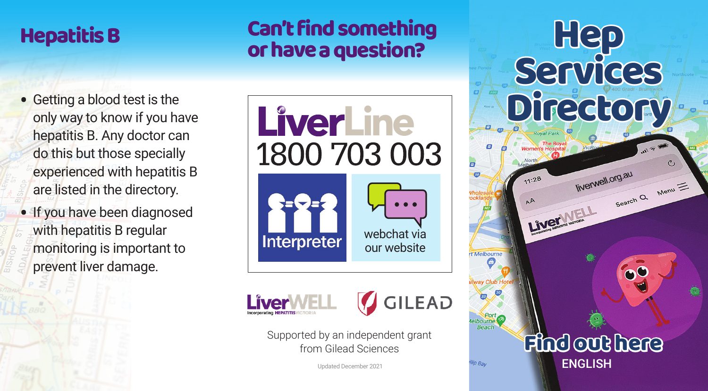## Hepatitis B

### Can't find something or have a question?

- Getting a blood test is the only way to know if you have hepatitis B. Any doctor can do this but those specially experienced with hepatitis B are listed in the directory.
- If you have been diagnosed with hepatitis B regular monitoring is important to prevent liver damage.







ø

*lip Bav* 

Supported by an independent grant<br>from Gilead Sciences from Gilead Sciences

Updated December 2021

# **Hep Services Directory** liverwell.org.au  $11:28$  $M.org.au$ <br>Search Q Menu LiverWELL rt Melbourn

ENGLISH